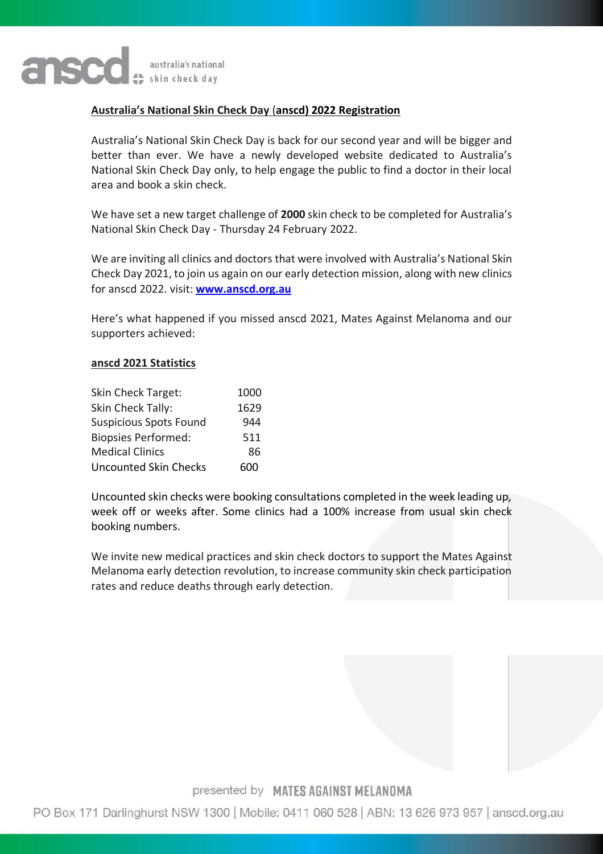

## **Australia's National Skin Check Day** (**anscd) 2022 Registration**

Australia's National Skin Check Day is back for our second year and will be bigger and better than ever. We have a newly developed website dedicated to Australia's National Skin Check Day only, to help engage the public to find a doctor in their local area and book a skin check.

We have set a new target challenge of **2000** skin check to be completed for Australia's National Skin Check Day - Thursday 24 February 2022.

We are inviting all clinics and doctors that were involved with Australia's National Skin Check Day 2021, to join us again on our early detection mission, along with new clinics for anscd 2022. visit: **[www.anscd.org.au](http://www.anscd.org.au/)**

Here's what happened if you missed anscd 2021, Mates Against Melanoma and our supporters achieved:

### **anscd 2021 Statistics**

| Skin Check Target:            | 1000 |
|-------------------------------|------|
| Skin Check Tally:             | 1629 |
| <b>Suspicious Spots Found</b> | 944  |
| <b>Biopsies Performed:</b>    | 511  |
| <b>Medical Clinics</b>        | 86   |
| <b>Uncounted Skin Checks</b>  | 600  |

Uncounted skin checks were booking consultations completed in the week leading up, week off or weeks after. Some clinics had a 100% increase from usual skin check booking numbers.

We invite new medical practices and skin check doctors to support the Mates Against Melanoma early detection revolution, to increase community skin check participation rates and reduce deaths through early detection.

## presented by MATES AGAINST MELANOMA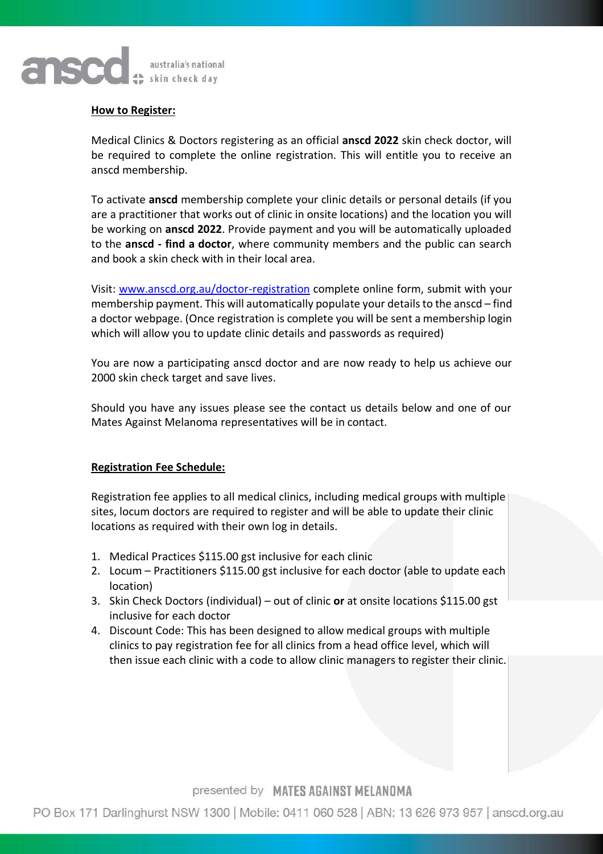

### **How to Register:**

Medical Clinics & Doctors registering as an official **anscd 2022** skin check doctor, will be required to complete the online registration. This will entitle you to receive an anscd membership.

To activate **anscd** membership complete your clinic details or personal details (if you are a practitioner that works out of clinic in onsite locations) and the location you will be working on **anscd 2022**. Provide payment and you will be automatically uploaded to the **anscd - find a doctor**, where community members and the public can search and book a skin check with in their local area.

Visit: [www.anscd.org.au/doctor-registration](http://www.anscd.org.au/doctor-registration) complete online form, submit with your membership payment. This will automatically populate your details to the anscd – find a doctor webpage. (Once registration is complete you will be sent a membership login which will allow you to update clinic details and passwords as required)

You are now a participating anscd doctor and are now ready to help us achieve our 2000 skin check target and save lives.

Should you have any issues please see the contact us details below and one of our Mates Against Melanoma representatives will be in contact.

### **Registration Fee Schedule:**

Registration fee applies to all medical clinics, including medical groups with multiple sites, locum doctors are required to register and will be able to update their clinic locations as required with their own log in details.

- 1. Medical Practices \$115.00 gst inclusive for each clinic
- 2. Locum Practitioners \$115.00 gst inclusive for each doctor (able to update each location)
- 3. Skin Check Doctors (individual) out of clinic **or** at onsite locations \$115.00 gst inclusive for each doctor
- 4. Discount Code: This has been designed to allow medical groups with multiple clinics to pay registration fee for all clinics from a head office level, which will then issue each clinic with a code to allow clinic managers to register their clinic.

presented by MATES AGAINST MELANOMA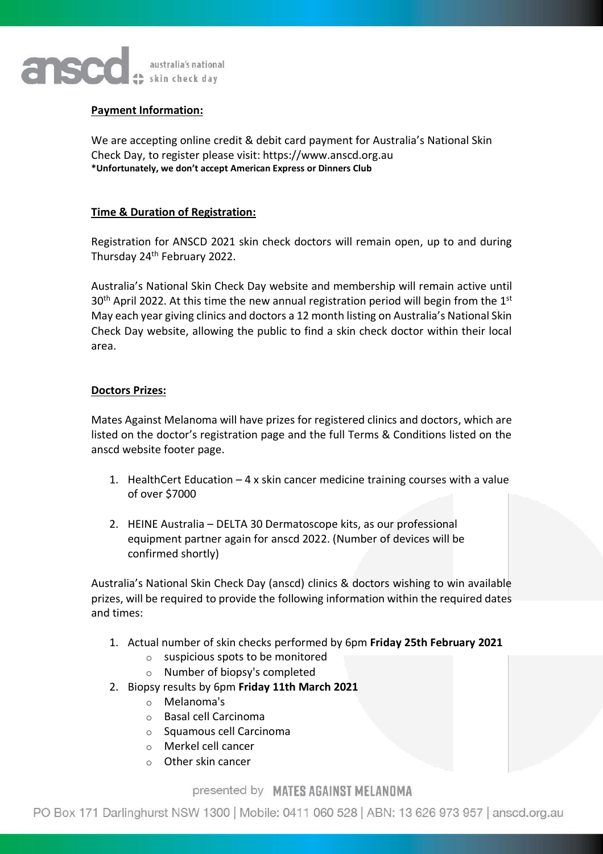

## **Payment Information:**

We are accepting online credit & debit card payment for Australia's National Skin Check Day, to register please visit: https://www.anscd.org.au **\*Unfortunately, we don't accept American Express or Dinners Club** 

## **Time & Duration of Registration:**

Registration for ANSCD 2021 skin check doctors will remain open, up to and during Thursday 24th February 2022.

Australia's National Skin Check Day website and membership will remain active until  $30<sup>th</sup>$  April 2022. At this time the new annual registration period will begin from the  $1<sup>st</sup>$ May each year giving clinics and doctors a 12 month listing on Australia's National Skin Check Day website, allowing the public to find a skin check doctor within their local area.

## **Doctors Prizes:**

Mates Against Melanoma will have prizes for registered clinics and doctors, which are listed on the doctor's registration page and the full Terms & Conditions listed on the anscd website footer page.

- 1. HealthCert Education 4 x skin cancer medicine training courses with a value of over \$7000
- 2. HEINE Australia DELTA 30 Dermatoscope kits, as our professional equipment partner again for anscd 2022. (Number of devices will be confirmed shortly)

Australia's National Skin Check Day (anscd) clinics & doctors wishing to win available prizes, will be required to provide the following information within the required dates and times:

- 1. Actual number of skin checks performed by 6pm **Friday 25th February 2021**
	- $\circ$  suspicious spots to be monitored
	- o Number of biopsy's completed
- 2. Biopsy results by 6pm **Friday 11th March 2021**
	- o Melanoma's
	- o Basal cell Carcinoma
	- o Squamous cell Carcinoma
	- o Merkel cell cancer
	- o Other skin cancer

## presented by MATES AGAINST MELANOMA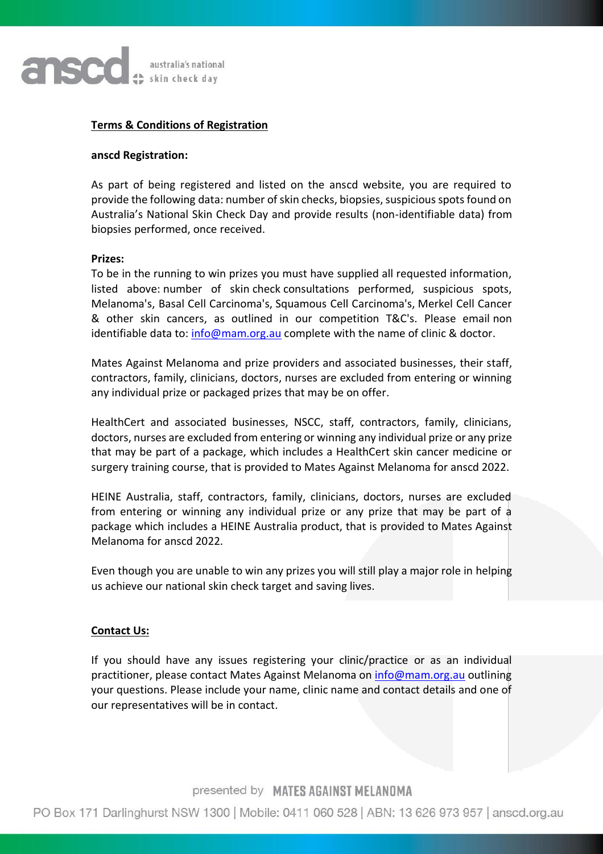

### **Terms & Conditions of Registration**

### **anscd Registration:**

As part of being registered and listed on the anscd website, you are required to provide the following data: number of skin checks, biopsies, suspicious spots found on Australia's National Skin Check Day and provide results (non-identifiable data) from biopsies performed, once received.

#### **Prizes:**

To be in the running to win prizes you must have supplied all requested information, listed above: number of skin check consultations performed, suspicious spots, Melanoma's, Basal Cell Carcinoma's, Squamous Cell Carcinoma's, Merkel Cell Cancer & other skin cancers, as outlined in our competition T&C's. Please email non identifiable data to:  $info@mann.org.au$  complete with the name of clinic & doctor.

Mates Against Melanoma and prize providers and associated businesses, their staff, contractors, family, clinicians, doctors, nurses are excluded from entering or winning any individual prize or packaged prizes that may be on offer.

HealthCert and associated businesses, NSCC, staff, contractors, family, clinicians, doctors, nurses are excluded from entering or winning any individual prize or any prize that may be part of a package, which includes a HealthCert skin cancer medicine or surgery training course, that is provided to Mates Against Melanoma for anscd 2022.

HEINE Australia, staff, contractors, family, clinicians, doctors, nurses are excluded from entering or winning any individual prize or any prize that may be part of a package which includes a HEINE Australia product, that is provided to Mates Against Melanoma for anscd 2022.

Even though you are unable to win any prizes you will still play a major role in helping us achieve our national skin check target and saving lives.

### **Contact Us:**

If you should have any issues registering your clinic/practice or as an individual practitioner, please contact Mates Against Melanoma on [info@mam.org.au](mailto:info@mam.org.au) outlining your questions. Please include your name, clinic name and contact details and one of our representatives will be in contact.

## presented by MATES AGAINST MELANOMA